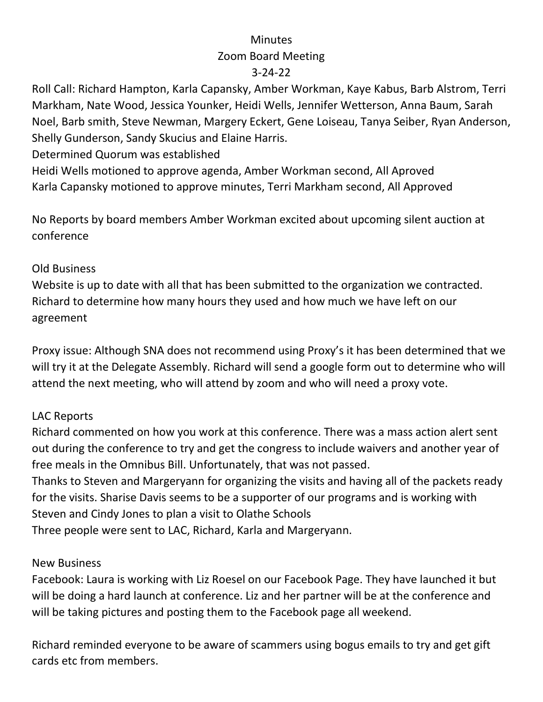# **Minutes** Zoom Board Meeting 3-24-22

Roll Call: Richard Hampton, Karla Capansky, Amber Workman, Kaye Kabus, Barb Alstrom, Terri Markham, Nate Wood, Jessica Younker, Heidi Wells, Jennifer Wetterson, Anna Baum, Sarah Noel, Barb smith, Steve Newman, Margery Eckert, Gene Loiseau, Tanya Seiber, Ryan Anderson, Shelly Gunderson, Sandy Skucius and Elaine Harris.

Determined Quorum was established

Heidi Wells motioned to approve agenda, Amber Workman second, All Aproved Karla Capansky motioned to approve minutes, Terri Markham second, All Approved

No Reports by board members Amber Workman excited about upcoming silent auction at conference

### Old Business

Website is up to date with all that has been submitted to the organization we contracted. Richard to determine how many hours they used and how much we have left on our agreement

Proxy issue: Although SNA does not recommend using Proxy's it has been determined that we will try it at the Delegate Assembly. Richard will send a google form out to determine who will attend the next meeting, who will attend by zoom and who will need a proxy vote.

# LAC Reports

Richard commented on how you work at this conference. There was a mass action alert sent out during the conference to try and get the congress to include waivers and another year of free meals in the Omnibus Bill. Unfortunately, that was not passed.

Thanks to Steven and Margeryann for organizing the visits and having all of the packets ready for the visits. Sharise Davis seems to be a supporter of our programs and is working with Steven and Cindy Jones to plan a visit to Olathe Schools

Three people were sent to LAC, Richard, Karla and Margeryann.

### New Business

Facebook: Laura is working with Liz Roesel on our Facebook Page. They have launched it but will be doing a hard launch at conference. Liz and her partner will be at the conference and will be taking pictures and posting them to the Facebook page all weekend.

Richard reminded everyone to be aware of scammers using bogus emails to try and get gift cards etc from members.